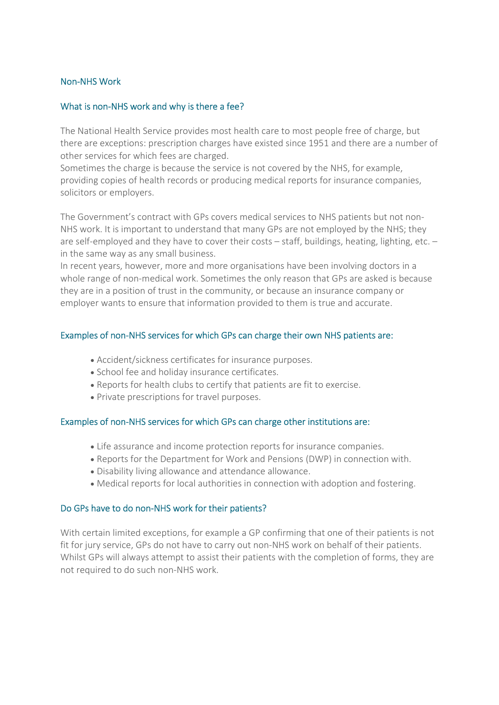## Non-NHS Work

#### What is non-NHS work and why is there a fee?

The National Health Service provides most health care to most people free of charge, but there are exceptions: prescription charges have existed since 1951 and there are a number of other services for which fees are charged.

Sometimes the charge is because the service is not covered by the NHS, for example, providing copies of health records or producing medical reports for insurance companies, solicitors or employers.

The Government's contract with GPs covers medical services to NHS patients but not non-NHS work. It is important to understand that many GPs are not employed by the NHS; they are self-employed and they have to cover their costs – staff, buildings, heating, lighting, etc. – in the same way as any small business.

In recent years, however, more and more organisations have been involving doctors in a whole range of non-medical work. Sometimes the only reason that GPs are asked is because they are in a position of trust in the community, or because an insurance company or employer wants to ensure that information provided to them is true and accurate.

## Examples of non-NHS services for which GPs can charge their own NHS patients are:

- Accident/sickness certificates for insurance purposes.
- School fee and holiday insurance certificates.
- Reports for health clubs to certify that patients are fit to exercise.
- Private prescriptions for travel purposes.

# Examples of non-NHS services for which GPs can charge other institutions are:

- Life assurance and income protection reports for insurance companies.
- Reports for the Department for Work and Pensions (DWP) in connection with.
- Disability living allowance and attendance allowance.
- Medical reports for local authorities in connection with adoption and fostering.

# Do GPs have to do non-NHS work for their patients?

With certain limited exceptions, for example a GP confirming that one of their patients is not fit for jury service, GPs do not have to carry out non-NHS work on behalf of their patients. Whilst GPs will always attempt to assist their patients with the completion of forms, they are not required to do such non-NHS work.